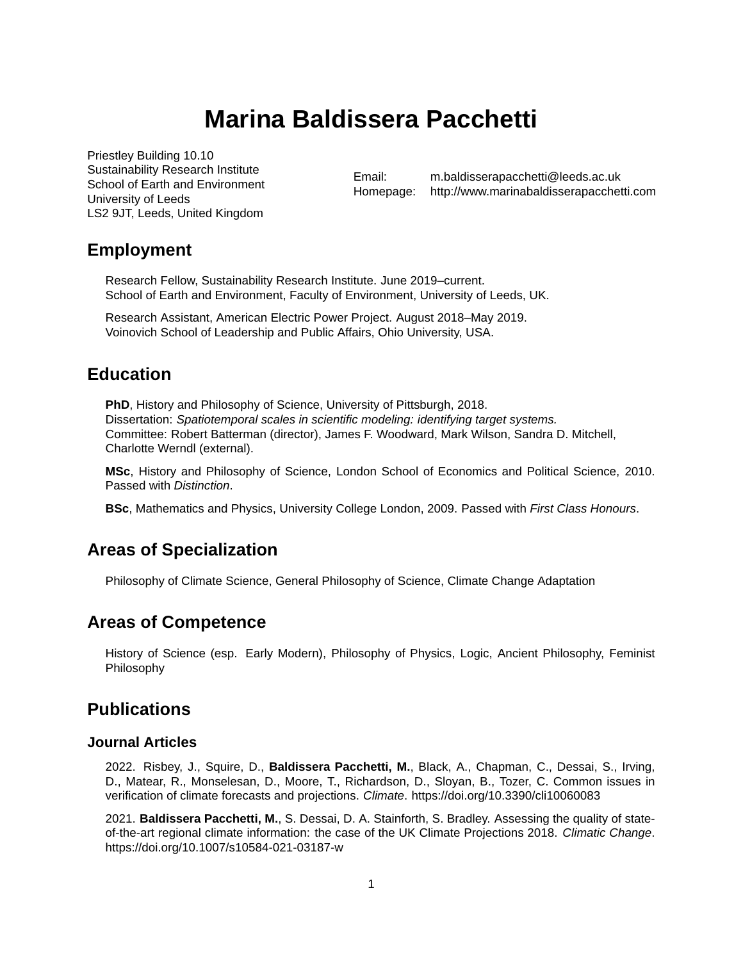# **Marina Baldissera Pacchetti**

Priestley Building 10.10 Sustainability Research Institute School of Earth and Environment University of Leeds LS2 9JT, Leeds, United Kingdom

Email: [m.baldisserapacchetti@leeds.ac.uk](mailto:m.baldisserapacchetti@leeds.ac.uk) Homepage: <http://www.marinabaldisserapacchetti.com>

# **Employment**

Research Fellow, Sustainability Research Institute. June 2019–current. School of Earth and Environment, Faculty of Environment, University of Leeds, UK.

Research Assistant, American Electric Power Project. August 2018–May 2019. Voinovich School of Leadership and Public Affairs, Ohio University, USA.

# **Education**

**PhD**, History and Philosophy of Science, University of Pittsburgh, 2018. Dissertation: *Spatiotemporal scales in scientific modeling: identifying target systems.* Committee: Robert Batterman (director), James F. Woodward, Mark Wilson, Sandra D. Mitchell, Charlotte Werndl (external).

**MSc**, History and Philosophy of Science, London School of Economics and Political Science, 2010. Passed with *Distinction*.

**BSc**, Mathematics and Physics, University College London, 2009. Passed with *First Class Honours*.

# **Areas of Specialization**

Philosophy of Climate Science, General Philosophy of Science, Climate Change Adaptation

# **Areas of Competence**

History of Science (esp. Early Modern), Philosophy of Physics, Logic, Ancient Philosophy, Feminist Philosophy

# **Publications**

#### **Journal Articles**

2022. Risbey, J., Squire, D., **Baldissera Pacchetti, M.**, Black, A., Chapman, C., Dessai, S., Irving, D., Matear, R., Monselesan, D., Moore, T., Richardson, D., Sloyan, B., Tozer, C. Common issues in verification of climate forecasts and projections. *Climate*. <https://doi.org/10.3390/cli10060083>

2021. **Baldissera Pacchetti, M.**, S. Dessai, D. A. Stainforth, S. Bradley. Assessing the quality of stateof-the-art regional climate information: the case of the UK Climate Projections 2018. *Climatic Change*. <https://doi.org/10.1007/s10584-021-03187-w>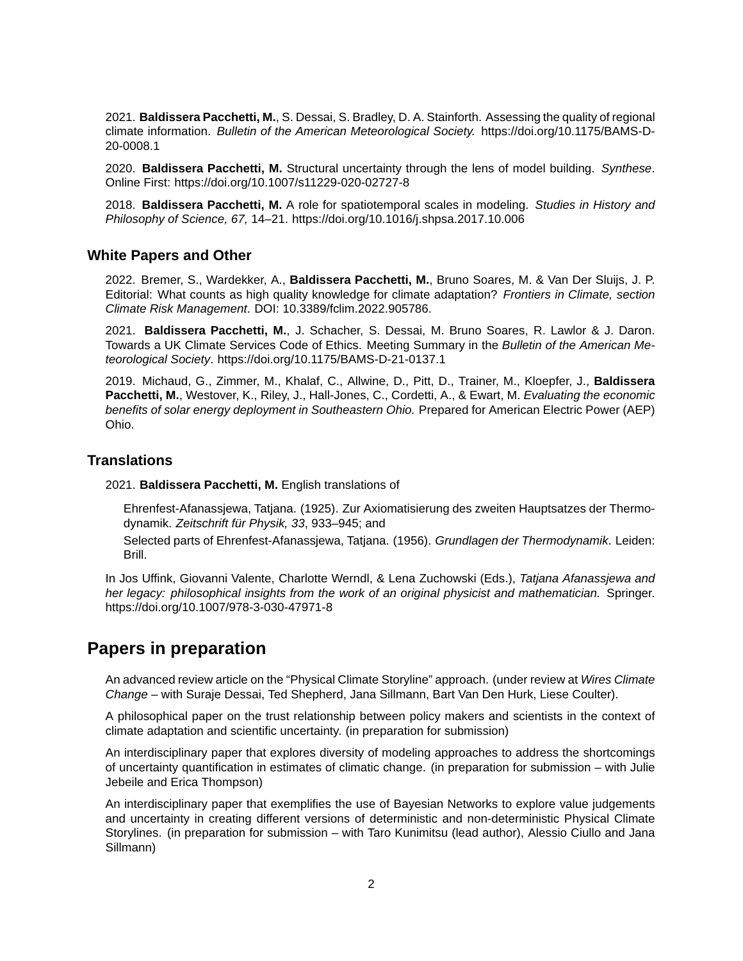2021. **Baldissera Pacchetti, M.**, S. Dessai, S. Bradley, D. A. Stainforth. Assessing the quality of regional climate information. *Bulletin of the American Meteorological Society.* [https://doi.org/10.1175/BAMS-D-](https://doi.org/10.1175/BAMS-D-20-0008.1)[20-0008.1](https://doi.org/10.1175/BAMS-D-20-0008.1)

2020. **Baldissera Pacchetti, M.** Structural uncertainty through the lens of model building. *Synthese*. Online First: <https://doi.org/10.1007/s11229-020-02727-8>

2018. **Baldissera Pacchetti, M.** A role for spatiotemporal scales in modeling. *Studies in History and Philosophy of Science, 67,* 14–21. <https://doi.org/10.1016/j.shpsa.2017.10.006>

#### **White Papers and Other**

2022. Bremer, S., Wardekker, A., **Baldissera Pacchetti, M.**, Bruno Soares, M. & Van Der Sluijs, J. P. Editorial: What counts as high quality knowledge for climate adaptation? *Frontiers in Climate, section Climate Risk Management*. DOI: 10.3389/fclim.2022.905786.

2021. **Baldissera Pacchetti, M.**, J. Schacher, S. Dessai, M. Bruno Soares, R. Lawlor & J. Daron. Towards a UK Climate Services Code of Ethics. Meeting Summary in the *Bulletin of the American Meteorological Society*. [https://doi.org/10.1175/BAMS-D-21-0137.1](https://journals.ametsoc.org/view/journals/bams/aop/BAMS-D-21-0137.1/BAMS-D-21-0137.1.xml)

2019. Michaud, G., Zimmer, M., Khalaf, C., Allwine, D., Pitt, D., Trainer, M., Kloepfer, J., **Baldissera Pacchetti, M.**, Westover, K., Riley, J., Hall-Jones, C., Cordetti, A., & Ewart, M. *Evaluating the economic benefits of solar energy deployment in Southeastern Ohio.* Prepared for American Electric Power (AEP) Ohio.

### **Translations**

2021. **Baldissera Pacchetti, M.** English translations of

Ehrenfest-Afanassjewa, Tatjana. (1925). Zur Axiomatisierung des zweiten Hauptsatzes der Thermodynamik. *Zeitschrift für Physik, 33*, 933–945; and

Selected parts of Ehrenfest-Afanassjewa, Tatjana. (1956). *Grundlagen der Thermodynamik*. Leiden: Brill.

In Jos Uffink, Giovanni Valente, Charlotte Werndl, & Lena Zuchowski (Eds.), *Tatjana Afanassjewa and her legacy: philosophical insights from the work of an original physicist and mathematician.* Springer. <https://doi.org/10.1007/978-3-030-47971-8>

### **Papers in preparation**

An advanced review article on the "Physical Climate Storyline" approach. (under review at *Wires Climate Change* – with Suraje Dessai, Ted Shepherd, Jana Sillmann, Bart Van Den Hurk, Liese Coulter).

A philosophical paper on the trust relationship between policy makers and scientists in the context of climate adaptation and scientific uncertainty. (in preparation for submission)

An interdisciplinary paper that explores diversity of modeling approaches to address the shortcomings of uncertainty quantification in estimates of climatic change. (in preparation for submission – with Julie Jebeile and Erica Thompson)

An interdisciplinary paper that exemplifies the use of Bayesian Networks to explore value judgements and uncertainty in creating different versions of deterministic and non-deterministic Physical Climate Storylines. (in preparation for submission – with Taro Kunimitsu (lead author), Alessio Ciullo and Jana Sillmann)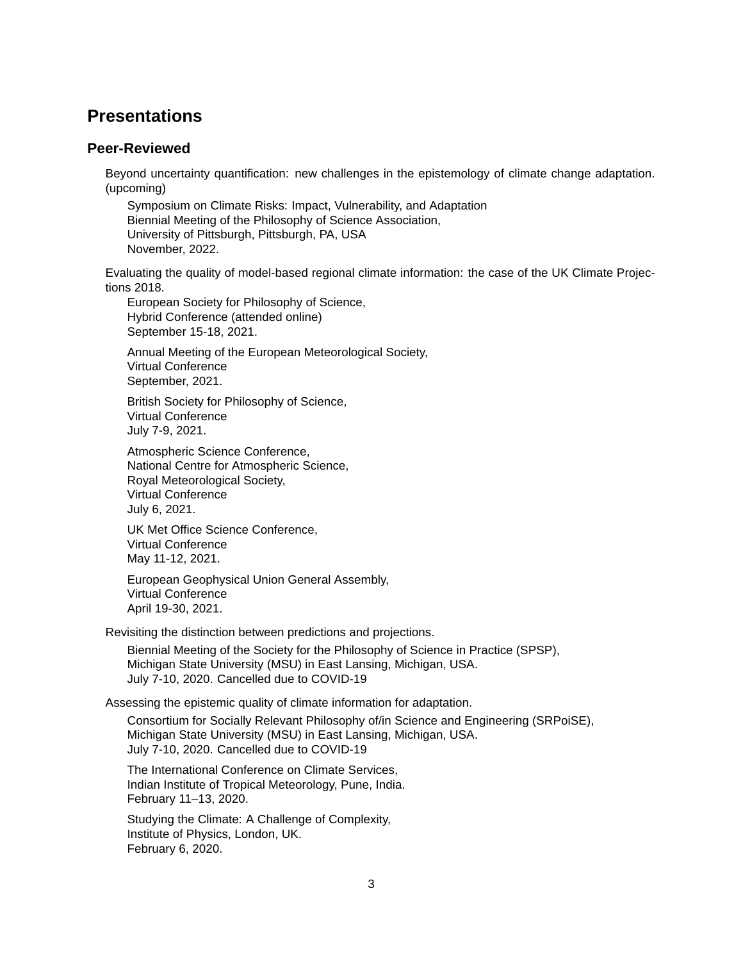### **Presentations**

#### **Peer-Reviewed**

Beyond uncertainty quantification: new challenges in the epistemology of climate change adaptation. (upcoming)

Symposium on Climate Risks: Impact, Vulnerability, and Adaptation Biennial Meeting of the Philosophy of Science Association, University of Pittsburgh, Pittsburgh, PA, USA November, 2022.

Evaluating the quality of model-based regional climate information: the case of the UK Climate Projections 2018.

European Society for Philosophy of Science, Hybrid Conference (attended online) September 15-18, 2021.

Annual Meeting of the European Meteorological Society, Virtual Conference September, 2021.

British Society for Philosophy of Science, Virtual Conference July 7-9, 2021.

Atmospheric Science Conference, National Centre for Atmospheric Science, Royal Meteorological Society, Virtual Conference July 6, 2021.

UK Met Office Science Conference, Virtual Conference May 11-12, 2021.

European Geophysical Union General Assembly, Virtual Conference April 19-30, 2021.

Revisiting the distinction between predictions and projections.

Biennial Meeting of the Society for the Philosophy of Science in Practice (SPSP), Michigan State University (MSU) in East Lansing, Michigan, USA. July 7-10, 2020. Cancelled due to COVID-19

Assessing the epistemic quality of climate information for adaptation.

Consortium for Socially Relevant Philosophy of/in Science and Engineering (SRPoiSE), Michigan State University (MSU) in East Lansing, Michigan, USA. July 7-10, 2020. Cancelled due to COVID-19

The International Conference on Climate Services, Indian Institute of Tropical Meteorology, Pune, India. February 11–13, 2020.

Studying the Climate: A Challenge of Complexity, Institute of Physics, London, UK. February 6, 2020.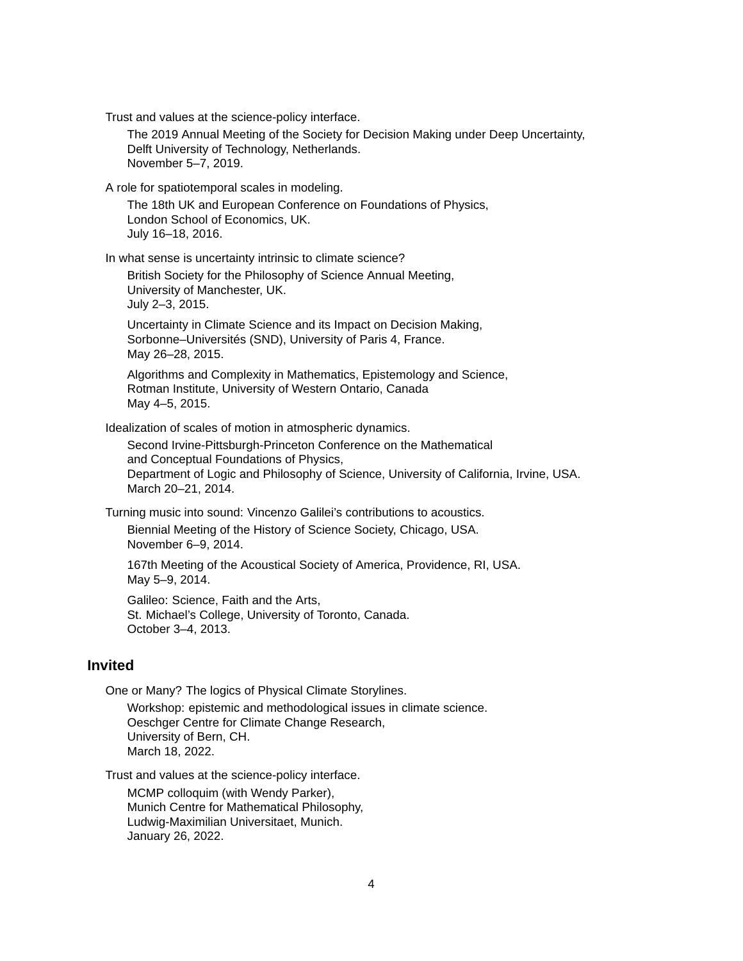Trust and values at the science-policy interface.

The 2019 Annual Meeting of the Society for Decision Making under Deep Uncertainty, Delft University of Technology, Netherlands. November 5–7, 2019.

A role for spatiotemporal scales in modeling.

The 18th UK and European Conference on Foundations of Physics, London School of Economics, UK. July 16–18, 2016.

In what sense is uncertainty intrinsic to climate science?

British Society for the Philosophy of Science Annual Meeting, University of Manchester, UK. July 2–3, 2015.

Uncertainty in Climate Science and its Impact on Decision Making, Sorbonne–Universités (SND), University of Paris 4, France. May 26–28, 2015.

Algorithms and Complexity in Mathematics, Epistemology and Science, Rotman Institute, University of Western Ontario, Canada May 4–5, 2015.

Idealization of scales of motion in atmospheric dynamics.

Second Irvine-Pittsburgh-Princeton Conference on the Mathematical and Conceptual Foundations of Physics, Department of Logic and Philosophy of Science, University of California, Irvine, USA. March 20–21, 2014.

Turning music into sound: Vincenzo Galilei's contributions to acoustics.

Biennial Meeting of the History of Science Society, Chicago, USA. November 6–9, 2014.

167th Meeting of the Acoustical Society of America, Providence, RI, USA. May 5–9, 2014.

Galileo: Science, Faith and the Arts, St. Michael's College, University of Toronto, Canada. October 3–4, 2013.

#### **Invited**

One or Many? The logics of Physical Climate Storylines.

Workshop: epistemic and methodological issues in climate science. Oeschger Centre for Climate Change Research, University of Bern, CH. March 18, 2022.

Trust and values at the science-policy interface.

MCMP colloquim (with Wendy Parker), Munich Centre for Mathematical Philosophy, Ludwig-Maximilian Universitaet, Munich. January 26, 2022.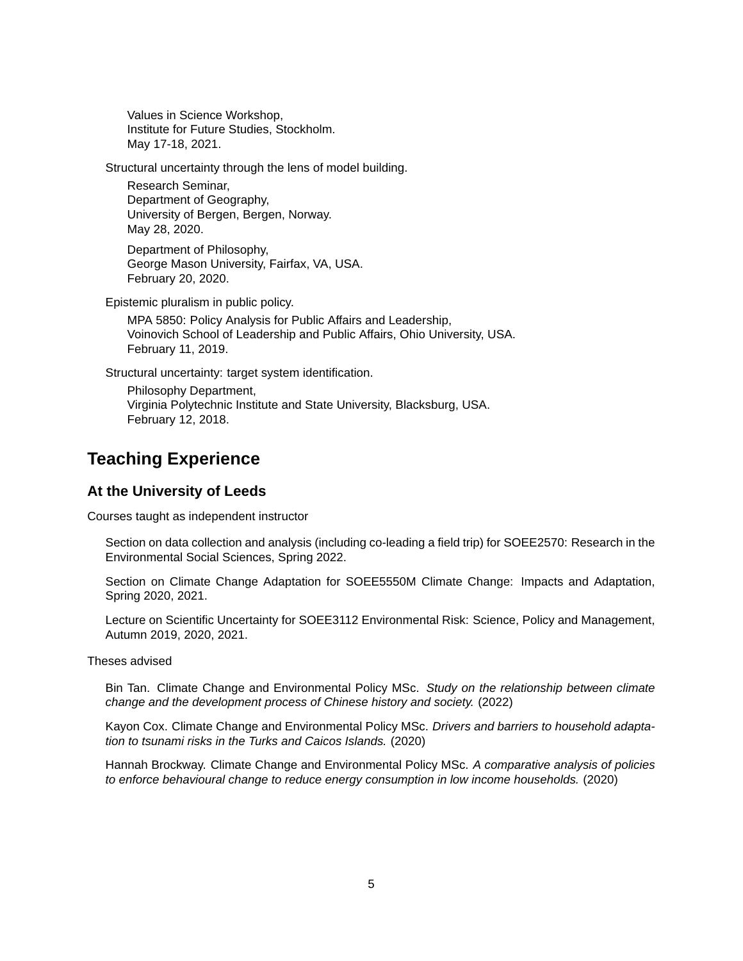Values in Science Workshop, Institute for Future Studies, Stockholm. May 17-18, 2021.

Structural uncertainty through the lens of model building.

Research Seminar, Department of Geography, University of Bergen, Bergen, Norway. May 28, 2020.

Department of Philosophy, George Mason University, Fairfax, VA, USA. February 20, 2020.

Epistemic pluralism in public policy.

MPA 5850: Policy Analysis for Public Affairs and Leadership, Voinovich School of Leadership and Public Affairs, Ohio University, USA. February 11, 2019.

Structural uncertainty: target system identification.

Philosophy Department, Virginia Polytechnic Institute and State University, Blacksburg, USA. February 12, 2018.

# **Teaching Experience**

### **At the University of Leeds**

Courses taught as independent instructor

Section on data collection and analysis (including co-leading a field trip) for SOEE2570: Research in the Environmental Social Sciences, Spring 2022.

Section on Climate Change Adaptation for SOEE5550M Climate Change: Impacts and Adaptation, Spring 2020, 2021.

Lecture on Scientific Uncertainty for SOEE3112 Environmental Risk: Science, Policy and Management, Autumn 2019, 2020, 2021.

Theses advised

Bin Tan. Climate Change and Environmental Policy MSc. *Study on the relationship between climate change and the development process of Chinese history and society.* (2022)

Kayon Cox. Climate Change and Environmental Policy MSc. *Drivers and barriers to household adaptation to tsunami risks in the Turks and Caicos Islands.* (2020)

Hannah Brockway. Climate Change and Environmental Policy MSc. *A comparative analysis of policies to enforce behavioural change to reduce energy consumption in low income households.* (2020)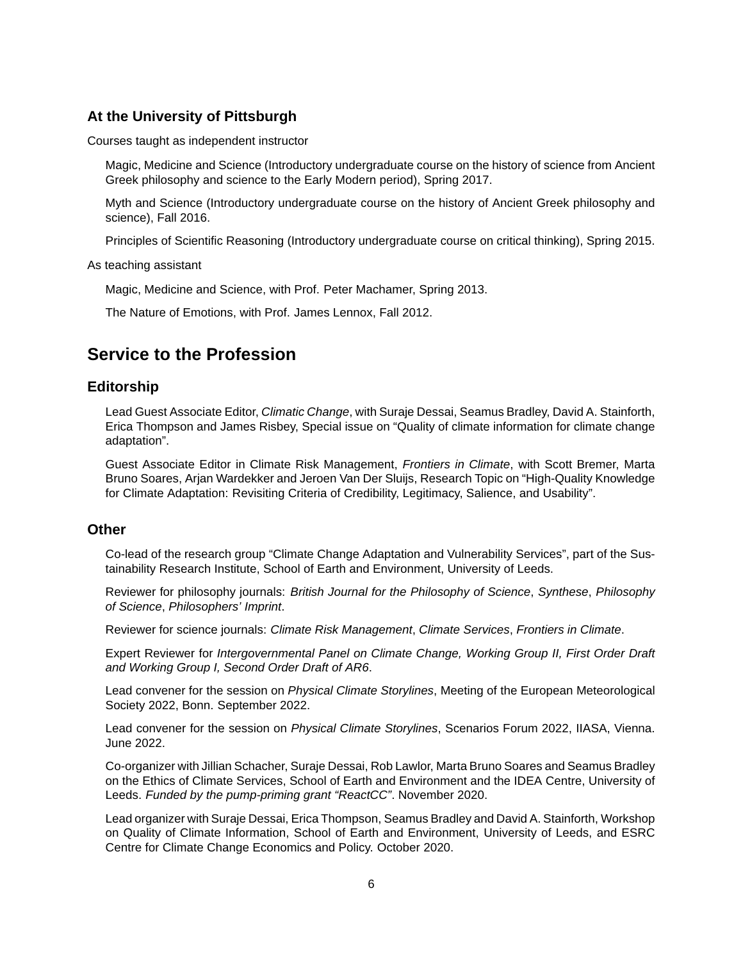### **At the University of Pittsburgh**

Courses taught as independent instructor

Magic, Medicine and Science (Introductory undergraduate course on the history of science from Ancient Greek philosophy and science to the Early Modern period), Spring 2017.

Myth and Science (Introductory undergraduate course on the history of Ancient Greek philosophy and science), Fall 2016.

Principles of Scientific Reasoning (Introductory undergraduate course on critical thinking), Spring 2015.

As teaching assistant

Magic, Medicine and Science, with Prof. Peter Machamer, Spring 2013.

The Nature of Emotions, with Prof. James Lennox, Fall 2012.

# **Service to the Profession**

### **Editorship**

Lead Guest Associate Editor, *Climatic Change*, with Suraje Dessai, Seamus Bradley, David A. Stainforth, Erica Thompson and James Risbey, Special issue on "Quality of climate information for climate change adaptation".

Guest Associate Editor in Climate Risk Management, *Frontiers in Climate*, with Scott Bremer, Marta Bruno Soares, Arjan Wardekker and Jeroen Van Der Sluijs, Research Topic on "High-Quality Knowledge for Climate Adaptation: Revisiting Criteria of Credibility, Legitimacy, Salience, and Usability".

#### **Other**

Co-lead of the research group "Climate Change Adaptation and Vulnerability Services", part of the Sustainability Research Institute, School of Earth and Environment, University of Leeds.

Reviewer for philosophy journals: *British Journal for the Philosophy of Science*, *Synthese*, *Philosophy of Science*, *Philosophers' Imprint*.

Reviewer for science journals: *Climate Risk Management*, *Climate Services*, *Frontiers in Climate*.

Expert Reviewer for *Intergovernmental Panel on Climate Change, Working Group II, First Order Draft and Working Group I, Second Order Draft of AR6*.

Lead convener for the session on *Physical Climate Storylines*, Meeting of the European Meteorological Society 2022, Bonn. September 2022.

Lead convener for the session on *Physical Climate Storylines*, Scenarios Forum 2022, IIASA, Vienna. June 2022.

Co-organizer with Jillian Schacher, Suraje Dessai, Rob Lawlor, Marta Bruno Soares and Seamus Bradley on the Ethics of Climate Services, School of Earth and Environment and the IDEA Centre, University of Leeds. *Funded by the pump-priming grant "ReactCC"*. November 2020.

Lead organizer with Suraje Dessai, Erica Thompson, Seamus Bradley and David A. Stainforth, Workshop on Quality of Climate Information, School of Earth and Environment, University of Leeds, and ESRC Centre for Climate Change Economics and Policy. October 2020.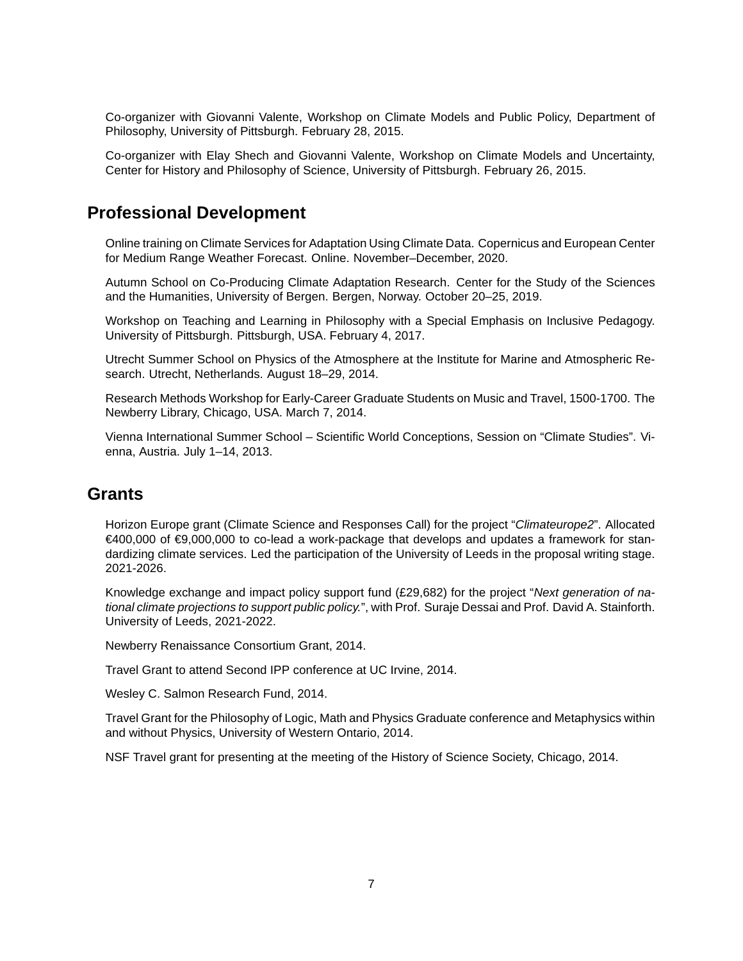Co-organizer with Giovanni Valente, Workshop on Climate Models and Public Policy, Department of Philosophy, University of Pittsburgh. February 28, 2015.

Co-organizer with Elay Shech and Giovanni Valente, Workshop on Climate Models and Uncertainty, Center for History and Philosophy of Science, University of Pittsburgh. February 26, 2015.

# **Professional Development**

Online training on Climate Services for Adaptation Using Climate Data. Copernicus and European Center for Medium Range Weather Forecast. Online. November–December, 2020.

Autumn School on Co-Producing Climate Adaptation Research. Center for the Study of the Sciences and the Humanities, University of Bergen. Bergen, Norway. October 20–25, 2019.

Workshop on Teaching and Learning in Philosophy with a Special Emphasis on Inclusive Pedagogy. University of Pittsburgh. Pittsburgh, USA. February 4, 2017.

Utrecht Summer School on Physics of the Atmosphere at the Institute for Marine and Atmospheric Research. Utrecht, Netherlands. August 18–29, 2014.

Research Methods Workshop for Early-Career Graduate Students on Music and Travel, 1500-1700. The Newberry Library, Chicago, USA. March 7, 2014.

Vienna International Summer School – Scientific World Conceptions, Session on "Climate Studies". Vienna, Austria. July 1–14, 2013.

### **Grants**

Horizon Europe grant (Climate Science and Responses Call) for the project "*Climateurope2*". Allocated €400,000 of €9,000,000 to co-lead a work-package that develops and updates a framework for standardizing climate services. Led the participation of the University of Leeds in the proposal writing stage. 2021-2026.

Knowledge exchange and impact policy support fund (£29,682) for the project "*Next generation of national climate projections to support public policy.*", with Prof. Suraje Dessai and Prof. David A. Stainforth. University of Leeds, 2021-2022.

Newberry Renaissance Consortium Grant, 2014.

Travel Grant to attend Second IPP conference at UC Irvine, 2014.

Wesley C. Salmon Research Fund, 2014.

Travel Grant for the Philosophy of Logic, Math and Physics Graduate conference and Metaphysics within and without Physics, University of Western Ontario, 2014.

NSF Travel grant for presenting at the meeting of the History of Science Society, Chicago, 2014.